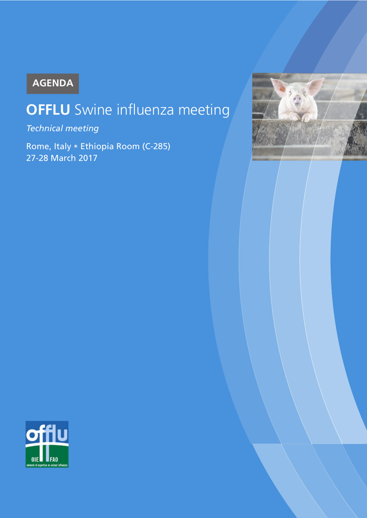# **AGENDA**

# **OFFLU** Swine influenza meeting

*Technical meeting*

Rome, Italy • Ethiopia Room (C-285) 27-28 March 2017



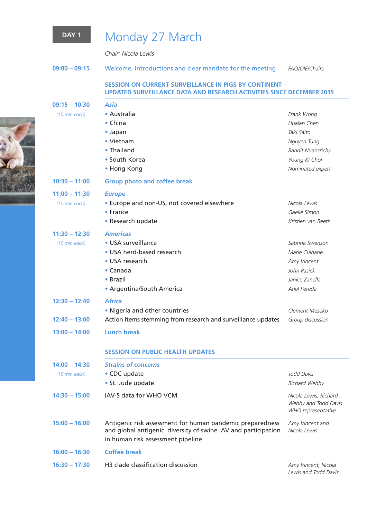

# DAY 1 Monday 27 March

*Chair: Nicola Lewis*

| $09:00 - 09:15$ |  | Welcome, introductions and clear mandate for the meeting |  |  |  | <b>FAO/OIE/Chairs</b> |
|-----------------|--|----------------------------------------------------------|--|--|--|-----------------------|
|-----------------|--|----------------------------------------------------------|--|--|--|-----------------------|

### **SESSION ON CURRENT SURVEILLANCE IN PIGS BY CONTINENT – UPDATED SURVEILLANCE DATA AND RESEARCH ACTIVITIES SINCE DECEMBER 2015**

| $09:15 - 10:30$ | Asia                                                                                                                                                            |                                                                     |
|-----------------|-----------------------------------------------------------------------------------------------------------------------------------------------------------------|---------------------------------------------------------------------|
| (10 min each)   | • Australia                                                                                                                                                     | Frank Wong                                                          |
|                 | $\bullet$ China                                                                                                                                                 | Hualan Chen                                                         |
|                 | • Japan                                                                                                                                                         | Taki Saito                                                          |
|                 | • Vietnam                                                                                                                                                       | Nguyen Tung                                                         |
|                 | • Thailand                                                                                                                                                      | <b>Bandit Nuansrichy</b>                                            |
|                 | • South Korea                                                                                                                                                   | Young Ki Choi                                                       |
|                 | • Hong Kong                                                                                                                                                     | Nominated expert                                                    |
| $10:30 - 11:00$ | <b>Group photo and coffee break</b>                                                                                                                             |                                                                     |
| $11:00 - 11:30$ | <b>Europe</b>                                                                                                                                                   |                                                                     |
| (10 min each)   | • Europe and non-US, not covered elsewhere                                                                                                                      | Nicola Lewis                                                        |
|                 | $\bullet$ France                                                                                                                                                | Gaelle Simon                                                        |
|                 | • Research update                                                                                                                                               | Kristien van Reeth                                                  |
| $11:30 - 12:30$ | <b>Americas</b>                                                                                                                                                 |                                                                     |
| (10 min each)   | • USA surveillance                                                                                                                                              | Sabrina Swenson                                                     |
|                 | • USA herd-based research                                                                                                                                       | Marie Culhane                                                       |
|                 | • USA research                                                                                                                                                  | Amy Vincent                                                         |
|                 | • Canada                                                                                                                                                        | John Pasick                                                         |
|                 | • Brazil                                                                                                                                                        | Janice Zanella                                                      |
|                 | • Argentina/South America                                                                                                                                       | Ariel Pereda                                                        |
| $12:30 - 12:40$ | <b>Africa</b>                                                                                                                                                   |                                                                     |
|                 | . Nigeria and other countries                                                                                                                                   | Clement Meseko                                                      |
| $12:40 - 13:00$ | Action items stemming from research and surveillance updates                                                                                                    | Group discussion                                                    |
| $13:00 - 14:00$ | <b>Lunch break</b>                                                                                                                                              |                                                                     |
|                 | <b>SESSION ON PUBLIC HEALTH UPDATES</b>                                                                                                                         |                                                                     |
| $14:00 - 14:30$ | <b>Strains of concerns</b>                                                                                                                                      |                                                                     |
| (15 min each)   | • CDC update                                                                                                                                                    | <b>Todd Davis</b>                                                   |
|                 | • St. Jude update                                                                                                                                               | Richard Webby                                                       |
| $14:30 - 15:00$ | IAV-S data for WHO VCM                                                                                                                                          | Nicola Lewis, Richard<br>Webby and Todd Davis<br>WHO representative |
| $15:00 - 16:00$ | Antigenic risk assessment for human pandemic preparedness<br>and global antigenic diversity of swine IAV and participation<br>in human risk assessment pipeline | Amy Vincent and<br>Nicola Lewis                                     |
| $16:00 - 16:30$ | <b>Coffee break</b>                                                                                                                                             |                                                                     |
| $16:30 - 17:30$ | H3 clade classification discussion                                                                                                                              | Amy Vincent, Nicola                                                 |
|                 |                                                                                                                                                                 | Lewis and Todd Davis                                                |

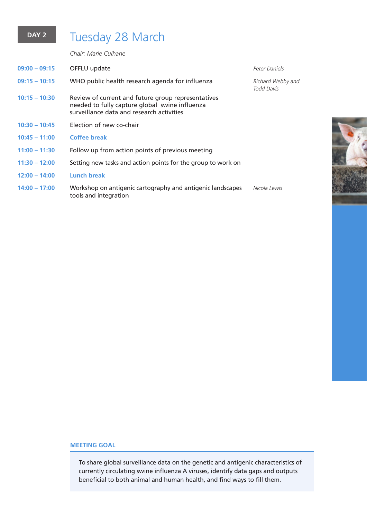## DAY 2 Tuesday 28 March

*Chair: Marie Culhane*

| $09:00 - 09:15$ | OFFLU update                                                                                                                                      | Peter Daniels                          |
|-----------------|---------------------------------------------------------------------------------------------------------------------------------------------------|----------------------------------------|
| $09:15 - 10:15$ | WHO public health research agenda for influenza                                                                                                   | Richard Webby and<br><b>Todd Davis</b> |
| $10:15 - 10:30$ | Review of current and future group representatives<br>needed to fully capture global swine influenza<br>surveillance data and research activities |                                        |
| $10:30 - 10:45$ | Election of new co-chair                                                                                                                          |                                        |
| $10:45 - 11:00$ | <b>Coffee break</b>                                                                                                                               |                                        |
| $11:00 - 11:30$ | Follow up from action points of previous meeting                                                                                                  |                                        |
| $11:30 - 12:00$ | Setting new tasks and action points for the group to work on                                                                                      |                                        |
| $12:00 - 14:00$ | Lunch break                                                                                                                                       |                                        |
| $14:00 - 17:00$ | Workshop on antigenic cartography and antigenic landscapes<br>tools and integration                                                               | Nicola Lewis                           |

### **MEETING GOAL**

To share global surveillance data on the genetic and antigenic characteristics of currently circulating swine influenza A viruses, identify data gaps and outputs beneficial to both animal and human health, and find ways to fill them.